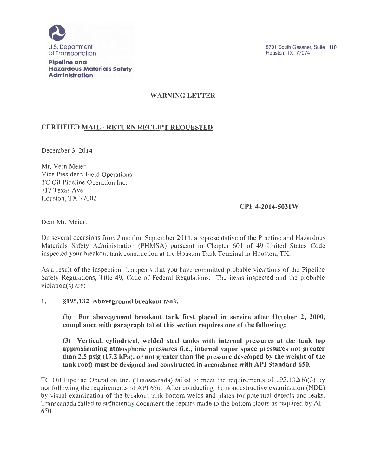

**Pipeline and Hazardous Materials Safety Administration** 

## WARNING LETTER

## CERTIFIED MAIL- RETURN RECEIPT REQUESTED

December 3, 2014

Mr. Vern Meier Vice President, Field Operations TC Oil Pipeline Operation Inc. 717 Texas Ave. Houston, TX 77002

## CPF 4-2014-5031W

Dear Mr. Meier:

On several occasions from June thru September 2014, a representative of the Pipeline and Hazardous Materials Safety Administration (PHMSA) pursuant to Chapter 601 of 49 United States Code inspected your breakout tank construction at the Houston Tank Terminal in Houston, TX.

As a result of the inspection, it appears that you have committed probable violations of the Pipeline Safety Regulations, Title 49, Code of Federal Regulations. The items inspected and the probable violation(s) are:

1. §195.132 Aboveground breakout tank.

(b) For aboveground breakout tank first placed in service after October 2, 2000, compliance with paragraph (a) of this section requires one of the following:

(3) Vertical, cylindrical, welded steel tanks with internal pressures at the tank top approximating atmospheric pressures (i.e., internal vapor space pressures not greater than 2.5 psig (17.2 kPa), or not greater than the pressure developed by the weight of the tank roof) must be designed and constructed in accordance with API Standard 650.

TC Oil Pipeline Operation Inc. (Transcanada) failed to meet the requirements of 195.132(b)(3) by not following the requirements of API 650. After conducting the nondestructive examination (NDE) by visual examination of the breakout tank bottom welds and plates for potential defects and leaks, Transcanada failed to sufficiently document the repairs made to the bottom floors as required by API 650.